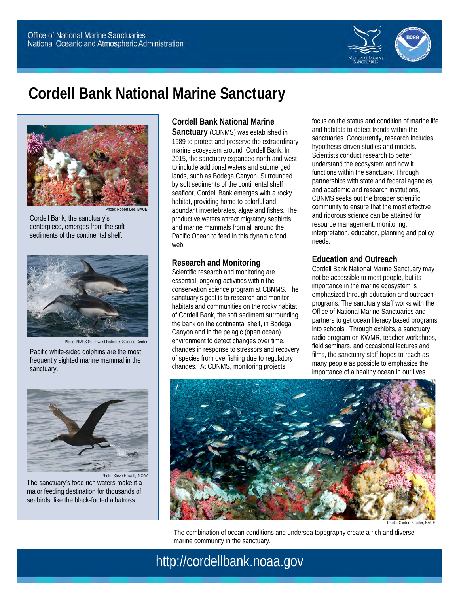

# **Cordell Bank National Marine Sanctuary**



Cordell Bank, the sanctuary's centerpiece, emerges from the soft sediments of the continental shelf.



Photo: NMFS Southwest Fisheries Science Center

Pacific white-sided dolphins are the most frequently sighted marine mammal in the sanctuary.



Photo: Steve Howell, NOAA The sanctuary's food rich waters make it a major feeding destination for thousands of seabirds, like the black-footed albatross.

**Cordell Bank National Marine Sanctuary** (CBNMS) was established in 1989 to protect and preserve the extraordinary marine ecosystem around Cordell Bank. In 2015, the sanctuary expanded north and west to include additional waters and submerged lands, such as Bodega Canyon. Surrounded by soft sediments of the continental shelf seafloor, Cordell Bank emerges with a rocky habitat, providing home to colorful and abundant invertebrates, algae and fishes. The productive waters attract migratory seabirds and marine mammals from all around the Pacific Ocean to feed in this dynamic food web.

## **Research and Monitoring**

Scientific research and monitoring are essential, ongoing activities within the conservation science program at CBNMS. The sanctuary's goal is to research and monitor habitats and communities on the rocky habitat of Cordell Bank, the soft sediment surrounding the bank on the continental shelf, in Bodega Canyon and in the pelagic (open ocean) environment to detect changes over time, changes in response to stressors and recovery of species from overfishing due to regulatory changes. At CBNMS, monitoring projects

focus on the status and condition of marine life and habitats to detect trends within the sanctuaries. Concurrently, research includes hypothesis-driven studies and models. Scientists conduct research to better understand the ecosystem and how it functions within the sanctuary. Through partnerships with state and federal agencies, and academic and research institutions, CBNMS seeks out the broader scientific community to ensure that the most effective and rigorous science can be attained for resource management, monitoring, interpretation, education, planning and policy needs.

## **Education and Outreach**

Cordell Bank National Marine Sanctuary may not be accessible to most people, but its importance in the marine ecosystem is emphasized through education and outreach programs. The sanctuary staff works with the Office of National Marine Sanctuaries and partners to get ocean literacy based programs into schools . Through exhibits, a sanctuary radio program on KWMR, teacher workshops, field seminars, and occasional lectures and films, the sanctuary staff hopes to reach as many people as possible to emphasize the importance of a healthy ocean in our lives.



Photo: Clinton Bauder, BAUL

The combination of ocean conditions and undersea topography create a rich and diverse marine community in the sanctuary.

## http://cordellbank.noaa.gov